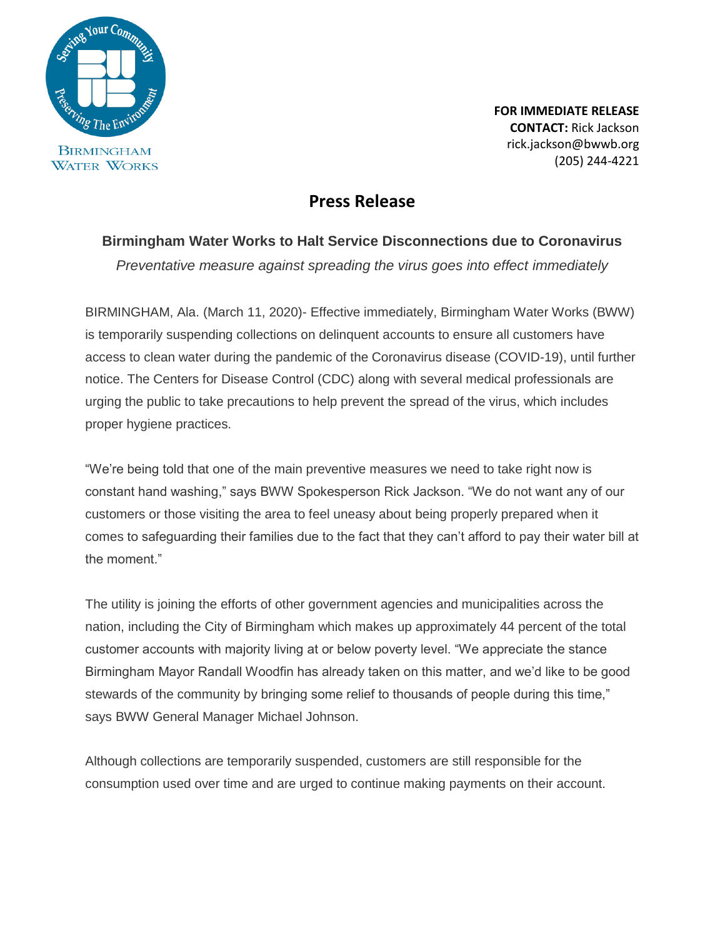

**FOR IMMEDIATE RELEASE CONTACT:** Rick Jackson rick.jackson@bwwb.org (205) 244-4221

## **Press Release**

## **Birmingham Water Works to Halt Service Disconnections due to Coronavirus**

*Preventative measure against spreading the virus goes into effect immediately*

BIRMINGHAM, Ala. (March 11, 2020)- Effective immediately, Birmingham Water Works (BWW) is temporarily suspending collections on delinquent accounts to ensure all customers have access to clean water during the pandemic of the Coronavirus disease (COVID-19), until further notice. The Centers for Disease Control (CDC) along with several medical professionals are urging the public to take precautions to help prevent the spread of the virus, which includes proper hygiene practices.

"We're being told that one of the main preventive measures we need to take right now is constant hand washing," says BWW Spokesperson Rick Jackson. "We do not want any of our customers or those visiting the area to feel uneasy about being properly prepared when it comes to safeguarding their families due to the fact that they can't afford to pay their water bill at the moment."

The utility is joining the efforts of other government agencies and municipalities across the nation, including the City of Birmingham which makes up approximately 44 percent of the total customer accounts with majority living at or below poverty level. "We appreciate the stance Birmingham Mayor Randall Woodfin has already taken on this matter, and we'd like to be good stewards of the community by bringing some relief to thousands of people during this time," says BWW General Manager Michael Johnson.

Although collections are temporarily suspended, customers are still responsible for the consumption used over time and are urged to continue making payments on their account.